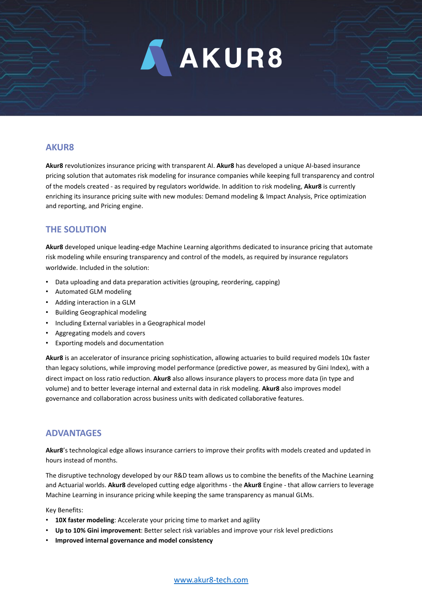

# **AKUR8**

**Akur8** revolutionizes insurance pricing with transparent AI. **Akur8** has developed a unique AI-based insurance pricing solution that automates risk modeling for insurance companies while keeping full transparency and control of the models created - as required by regulators worldwide. In addition to risk modeling, **Akur8** is currently enriching its insurance pricing suite with new modules: Demand modeling & Impact Analysis, Price optimization and reporting, and Pricing engine.

# **THE SOLUTION**

**Akur8** developed unique leading-edge Machine Learning algorithms dedicated to insurance pricing that automate risk modeling while ensuring transparency and control of the models, as required by insurance regulators worldwide. Included in the solution:

- Data uploading and data preparation activities (grouping, reordering, capping)
- Automated GLM modeling
- Adding interaction in a GLM
- Building Geographical modeling
- Including External variables in a Geographical model
- Aggregating models and covers
- Exporting models and documentation

**Akur8** is an accelerator of insurance pricing sophistication, allowing actuaries to build required models 10x faster than legacy solutions, while improving model performance (predictive power, as measured by Gini Index), with a direct impact on loss ratio reduction. **Akur8** also allows insurance players to process more data (in type and volume) and to better leverage internal and external data in risk modeling. **Akur8** also improves model governance and collaboration across business units with dedicated collaborative features.

# **ADVANTAGES**

**Akur8**'s technological edge allows insurance carriers to improve their profits with models created and updated in hours instead of months.

The disruptive technology developed by our R&D team allows us to combine the benefits of the Machine Learning and Actuarial worlds. **Akur8** developed cutting edge algorithms - the **Akur8** Engine - that allow carriers to leverage Machine Learning in insurance pricing while keeping the same transparency as manual GLMs.

Key Benefits:

- **10X faster modeling**: Accelerate your pricing time to market and agility
- **Up to 10% Gini improvement**: Better select risk variables and improve your risk level predictions
- **Improved internal governance and model consistency**